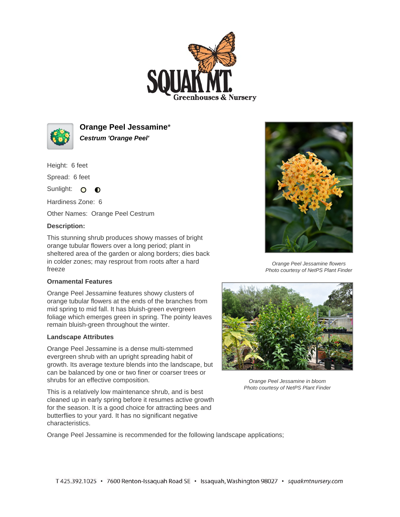



**Orange Peel Jessamine**\* **Cestrum 'Orange Peel'**

Height: 6 feet

Spread: 6 feet

Sunlight: O **O** 

Hardiness Zone: 6

Other Names: Orange Peel Cestrum

## **Description:**

This stunning shrub produces showy masses of bright orange tubular flowers over a long period; plant in sheltered area of the garden or along borders; dies back in colder zones; may resprout from roots after a hard freeze

## **Ornamental Features**

Orange Peel Jessamine features showy clusters of orange tubular flowers at the ends of the branches from mid spring to mid fall. It has bluish-green evergreen foliage which emerges green in spring. The pointy leaves remain bluish-green throughout the winter.

## **Landscape Attributes**

Orange Peel Jessamine is a dense multi-stemmed evergreen shrub with an upright spreading habit of growth. Its average texture blends into the landscape, but can be balanced by one or two finer or coarser trees or shrubs for an effective composition.

This is a relatively low maintenance shrub, and is best cleaned up in early spring before it resumes active growth for the season. It is a good choice for attracting bees and butterflies to your yard. It has no significant negative characteristics.



Orange Peel Jessamine flowers Photo courtesy of NetPS Plant Finder



Orange Peel Jessamine in bloom Photo courtesy of NetPS Plant Finder

Orange Peel Jessamine is recommended for the following landscape applications;